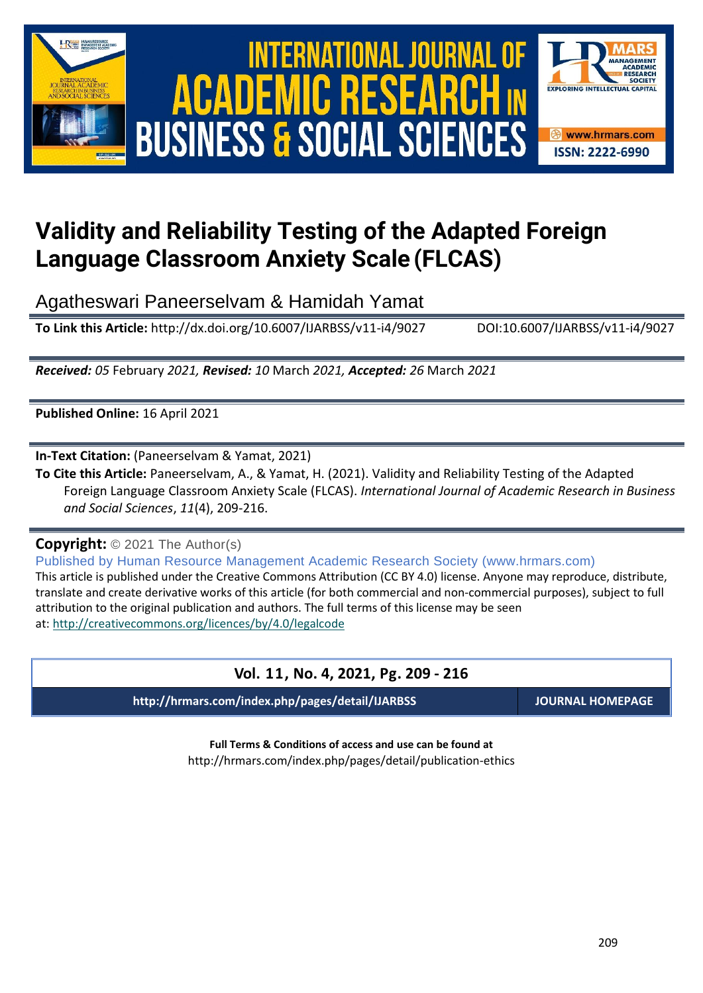

# International Journal of Academic Research in Business and Social Sciences **Vol. 1 1 , No. 4, 2021, E-ISSN: 2222-6990 © 2021 HRMARS ACADEMIC BUSINESS & SOCIAL SCIENCES**



## **Validity and Reliability Testing of the Adapted Foreign Language Classroom Anxiety Scale (FLCAS)**

Agatheswari Paneerselvam & Hamidah Yamat

**To Link this Article:** http://dx.doi.org/10.6007/IJARBSS/v11-i4/9027 DOI:10.6007/IJARBSS/v11-i4/9027

*Received: 05* February *2021, Revised: 10* March *2021, Accepted: 26* March *2021*

**Published Online:** 16 April 2021

**In-Text Citation:** (Paneerselvam & Yamat, 2021)

**To Cite this Article:** Paneerselvam, A., & Yamat, H. (2021). Validity and Reliability Testing of the Adapted Foreign Language Classroom Anxiety Scale (FLCAS). *International Journal of Academic Research in Business and Social Sciences*, *11*(4), 209-216.

**Copyright:** © 2021 The Author(s)

Published by Human Resource Management Academic Research Society (www.hrmars.com)

This article is published under the Creative Commons Attribution (CC BY 4.0) license. Anyone may reproduce, distribute, translate and create derivative works of this article (for both commercial and non-commercial purposes), subject to full attribution to the original publication and authors. The full terms of this license may be seen at: <http://creativecommons.org/licences/by/4.0/legalcode>

## **Vol. 11, No. 4, 2021, Pg. 209 - 216**

**http://hrmars.com/index.php/pages/detail/IJARBSS JOURNAL HOMEPAGE**

**Full Terms & Conditions of access and use can be found at** http://hrmars.com/index.php/pages/detail/publication-ethics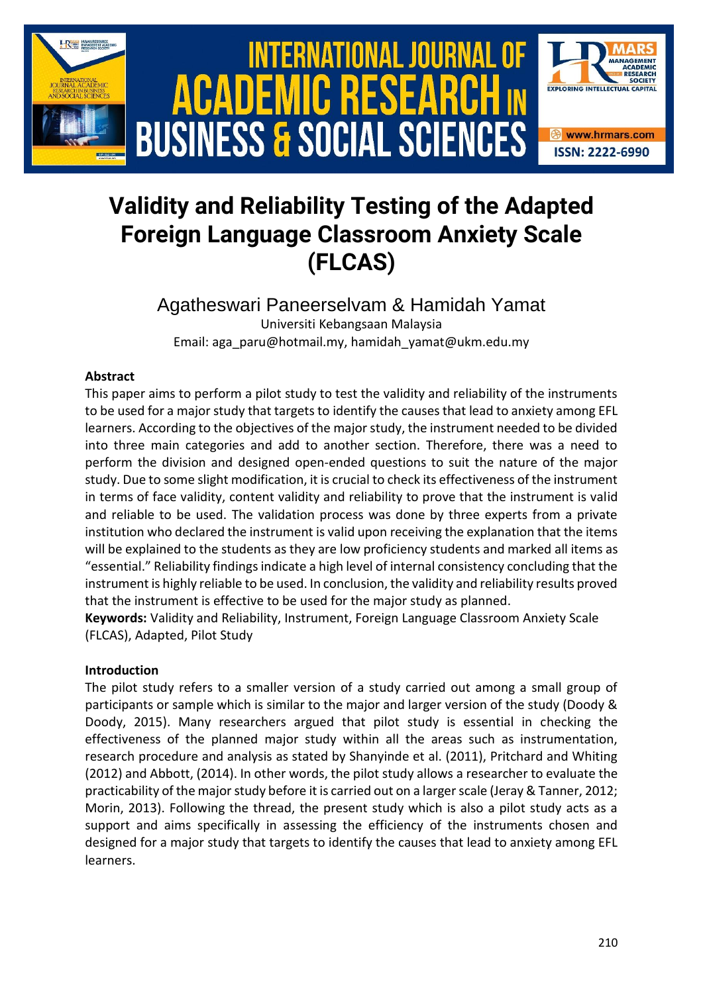

## **Validity and Reliability Testing of the Adapted Foreign Language Classroom Anxiety Scale (FLCAS)**

Agatheswari Paneerselvam & Hamidah Yamat Universiti Kebangsaan Malaysia Email: aga\_paru@hotmail.my, hamidah\_yamat@ukm.edu.my

#### **Abstract**

This paper aims to perform a pilot study to test the validity and reliability of the instruments to be used for a major study that targets to identify the causes that lead to anxiety among EFL learners. According to the objectives of the major study, the instrument needed to be divided into three main categories and add to another section. Therefore, there was a need to perform the division and designed open-ended questions to suit the nature of the major study. Due to some slight modification, it is crucial to check its effectiveness of the instrument in terms of face validity, content validity and reliability to prove that the instrument is valid and reliable to be used. The validation process was done by three experts from a private institution who declared the instrument is valid upon receiving the explanation that the items will be explained to the students as they are low proficiency students and marked all items as "essential." Reliability findings indicate a high level of internal consistency concluding that the instrument is highly reliable to be used. In conclusion, the validity and reliability results proved that the instrument is effective to be used for the major study as planned.

**Keywords:** Validity and Reliability, Instrument, Foreign Language Classroom Anxiety Scale (FLCAS), Adapted, Pilot Study

#### **Introduction**

The pilot study refers to a smaller version of a study carried out among a small group of participants or sample which is similar to the major and larger version of the study (Doody & Doody, 2015). Many researchers argued that pilot study is essential in checking the effectiveness of the planned major study within all the areas such as instrumentation, research procedure and analysis as stated by Shanyinde et al. (2011), Pritchard and Whiting (2012) and Abbott, (2014). In other words, the pilot study allows a researcher to evaluate the practicability of the major study before it is carried out on a larger scale (Jeray & Tanner, 2012; Morin, 2013). Following the thread, the present study which is also a pilot study acts as a support and aims specifically in assessing the efficiency of the instruments chosen and designed for a major study that targets to identify the causes that lead to anxiety among EFL learners.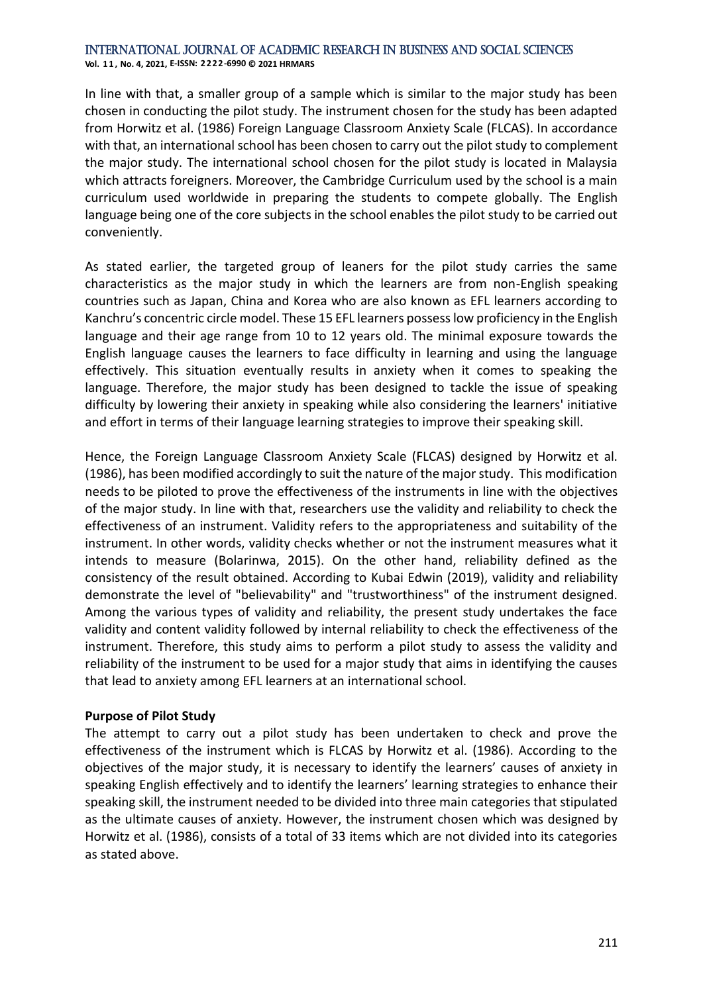**Vol. 1 1 , No. 4, 2021, E-ISSN: 2222-6990 © 2021 HRMARS**

In line with that, a smaller group of a sample which is similar to the major study has been chosen in conducting the pilot study. The instrument chosen for the study has been adapted from Horwitz et al. (1986) Foreign Language Classroom Anxiety Scale (FLCAS). In accordance with that, an international school has been chosen to carry out the pilot study to complement the major study. The international school chosen for the pilot study is located in Malaysia which attracts foreigners. Moreover, the Cambridge Curriculum used by the school is a main curriculum used worldwide in preparing the students to compete globally. The English language being one of the core subjects in the school enables the pilot study to be carried out conveniently.

As stated earlier, the targeted group of leaners for the pilot study carries the same characteristics as the major study in which the learners are from non-English speaking countries such as Japan, China and Korea who are also known as EFL learners according to Kanchru's concentric circle model. These 15 EFL learners possess low proficiency in the English language and their age range from 10 to 12 years old. The minimal exposure towards the English language causes the learners to face difficulty in learning and using the language effectively. This situation eventually results in anxiety when it comes to speaking the language. Therefore, the major study has been designed to tackle the issue of speaking difficulty by lowering their anxiety in speaking while also considering the learners' initiative and effort in terms of their language learning strategies to improve their speaking skill.

Hence, the Foreign Language Classroom Anxiety Scale (FLCAS) designed by Horwitz et al. (1986), has been modified accordingly to suit the nature of the major study. This modification needs to be piloted to prove the effectiveness of the instruments in line with the objectives of the major study. In line with that, researchers use the validity and reliability to check the effectiveness of an instrument. Validity refers to the appropriateness and suitability of the instrument. In other words, validity checks whether or not the instrument measures what it intends to measure (Bolarinwa, 2015). On the other hand, reliability defined as the consistency of the result obtained. According to Kubai Edwin (2019), validity and reliability demonstrate the level of "believability" and "trustworthiness" of the instrument designed. Among the various types of validity and reliability, the present study undertakes the face validity and content validity followed by internal reliability to check the effectiveness of the instrument. Therefore, this study aims to perform a pilot study to assess the validity and reliability of the instrument to be used for a major study that aims in identifying the causes that lead to anxiety among EFL learners at an international school.

#### **Purpose of Pilot Study**

The attempt to carry out a pilot study has been undertaken to check and prove the effectiveness of the instrument which is FLCAS by Horwitz et al. (1986). According to the objectives of the major study, it is necessary to identify the learners' causes of anxiety in speaking English effectively and to identify the learners' learning strategies to enhance their speaking skill, the instrument needed to be divided into three main categories that stipulated as the ultimate causes of anxiety. However, the instrument chosen which was designed by Horwitz et al. (1986), consists of a total of 33 items which are not divided into its categories as stated above.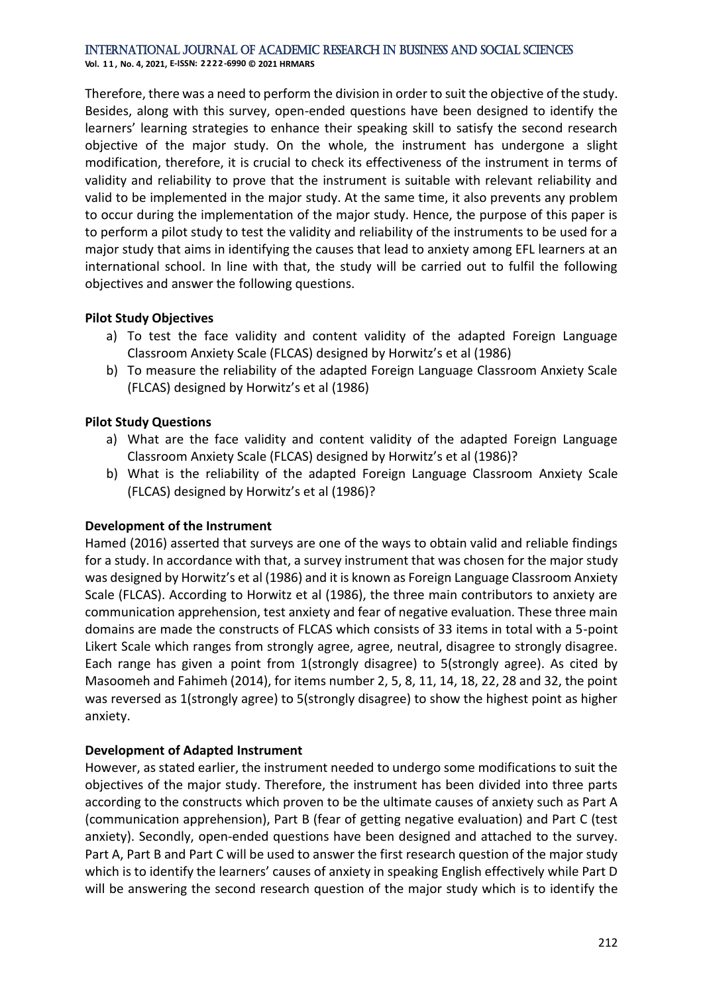**Vol. 1 1 , No. 4, 2021, E-ISSN: 2222-6990 © 2021 HRMARS**

Therefore, there was a need to perform the division in order to suit the objective of the study. Besides, along with this survey, open-ended questions have been designed to identify the learners' learning strategies to enhance their speaking skill to satisfy the second research objective of the major study. On the whole, the instrument has undergone a slight modification, therefore, it is crucial to check its effectiveness of the instrument in terms of validity and reliability to prove that the instrument is suitable with relevant reliability and valid to be implemented in the major study. At the same time, it also prevents any problem to occur during the implementation of the major study. Hence, the purpose of this paper is to perform a pilot study to test the validity and reliability of the instruments to be used for a major study that aims in identifying the causes that lead to anxiety among EFL learners at an international school. In line with that, the study will be carried out to fulfil the following objectives and answer the following questions.

#### **Pilot Study Objectives**

- a) To test the face validity and content validity of the adapted Foreign Language Classroom Anxiety Scale (FLCAS) designed by Horwitz's et al (1986)
- b) To measure the reliability of the adapted Foreign Language Classroom Anxiety Scale (FLCAS) designed by Horwitz's et al (1986)

#### **Pilot Study Questions**

- a) What are the face validity and content validity of the adapted Foreign Language Classroom Anxiety Scale (FLCAS) designed by Horwitz's et al (1986)?
- b) What is the reliability of the adapted Foreign Language Classroom Anxiety Scale (FLCAS) designed by Horwitz's et al (1986)?

#### **Development of the Instrument**

Hamed (2016) asserted that surveys are one of the ways to obtain valid and reliable findings for a study. In accordance with that, a survey instrument that was chosen for the major study was designed by Horwitz's et al (1986) and it is known as Foreign Language Classroom Anxiety Scale (FLCAS). According to Horwitz et al (1986), the three main contributors to anxiety are communication apprehension, test anxiety and fear of negative evaluation. These three main domains are made the constructs of FLCAS which consists of 33 items in total with a 5-point Likert Scale which ranges from strongly agree, agree, neutral, disagree to strongly disagree. Each range has given a point from 1(strongly disagree) to 5(strongly agree). As cited by Masoomeh and Fahimeh (2014), for items number 2, 5, 8, 11, 14, 18, 22, 28 and 32, the point was reversed as 1(strongly agree) to 5(strongly disagree) to show the highest point as higher anxiety.

#### **Development of Adapted Instrument**

However, as stated earlier, the instrument needed to undergo some modifications to suit the objectives of the major study. Therefore, the instrument has been divided into three parts according to the constructs which proven to be the ultimate causes of anxiety such as Part A (communication apprehension), Part B (fear of getting negative evaluation) and Part C (test anxiety). Secondly, open-ended questions have been designed and attached to the survey. Part A, Part B and Part C will be used to answer the first research question of the major study which is to identify the learners' causes of anxiety in speaking English effectively while Part D will be answering the second research question of the major study which is to identify the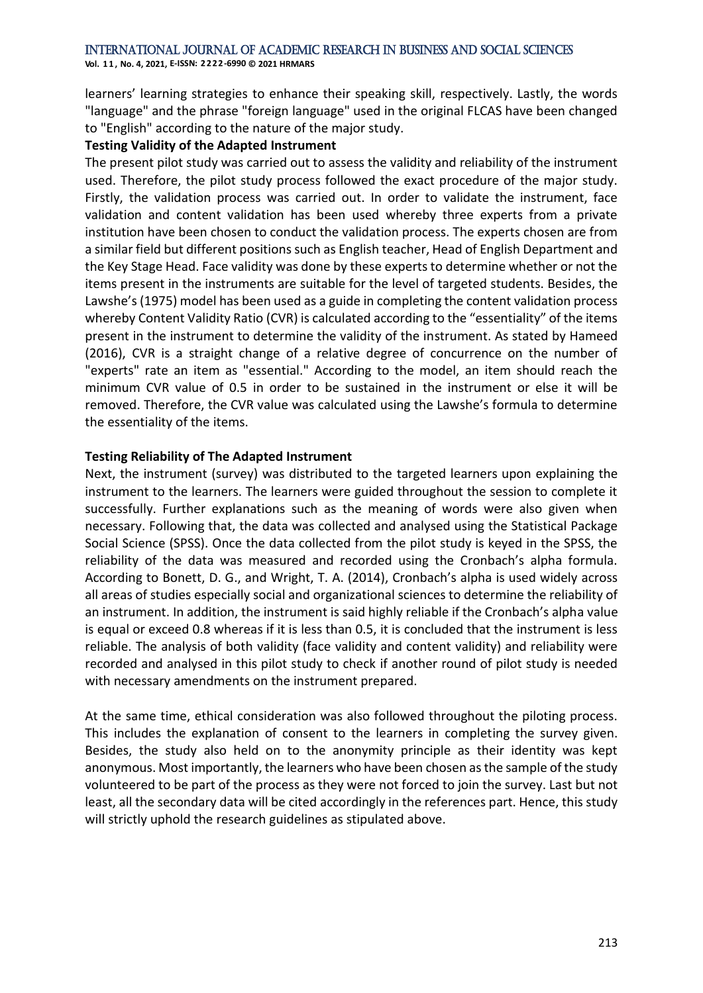**Vol. 1 1 , No. 4, 2021, E-ISSN: 2222-6990 © 2021 HRMARS**

learners' learning strategies to enhance their speaking skill, respectively. Lastly, the words "language" and the phrase "foreign language" used in the original FLCAS have been changed to "English" according to the nature of the major study.

#### **Testing Validity of the Adapted Instrument**

The present pilot study was carried out to assess the validity and reliability of the instrument used. Therefore, the pilot study process followed the exact procedure of the major study. Firstly, the validation process was carried out. In order to validate the instrument, face validation and content validation has been used whereby three experts from a private institution have been chosen to conduct the validation process. The experts chosen are from a similar field but different positions such as English teacher, Head of English Department and the Key Stage Head. Face validity was done by these experts to determine whether or not the items present in the instruments are suitable for the level of targeted students. Besides, the Lawshe's (1975) model has been used as a guide in completing the content validation process whereby Content Validity Ratio (CVR) is calculated according to the "essentiality" of the items present in the instrument to determine the validity of the instrument. As stated by Hameed (2016), CVR is a straight change of a relative degree of concurrence on the number of "experts" rate an item as "essential." According to the model, an item should reach the minimum CVR value of 0.5 in order to be sustained in the instrument or else it will be removed. Therefore, the CVR value was calculated using the Lawshe's formula to determine the essentiality of the items.

#### **Testing Reliability of The Adapted Instrument**

Next, the instrument (survey) was distributed to the targeted learners upon explaining the instrument to the learners. The learners were guided throughout the session to complete it successfully. Further explanations such as the meaning of words were also given when necessary. Following that, the data was collected and analysed using the Statistical Package Social Science (SPSS). Once the data collected from the pilot study is keyed in the SPSS, the reliability of the data was measured and recorded using the Cronbach's alpha formula. According to Bonett, D. G., and Wright, T. A. (2014), Cronbach's alpha is used widely across all areas of studies especially social and organizational sciences to determine the reliability of an instrument. In addition, the instrument is said highly reliable if the Cronbach's alpha value is equal or exceed 0.8 whereas if it is less than 0.5, it is concluded that the instrument is less reliable. The analysis of both validity (face validity and content validity) and reliability were recorded and analysed in this pilot study to check if another round of pilot study is needed with necessary amendments on the instrument prepared.

At the same time, ethical consideration was also followed throughout the piloting process. This includes the explanation of consent to the learners in completing the survey given. Besides, the study also held on to the anonymity principle as their identity was kept anonymous. Most importantly, the learners who have been chosen as the sample of the study volunteered to be part of the process as they were not forced to join the survey. Last but not least, all the secondary data will be cited accordingly in the references part. Hence, this study will strictly uphold the research guidelines as stipulated above.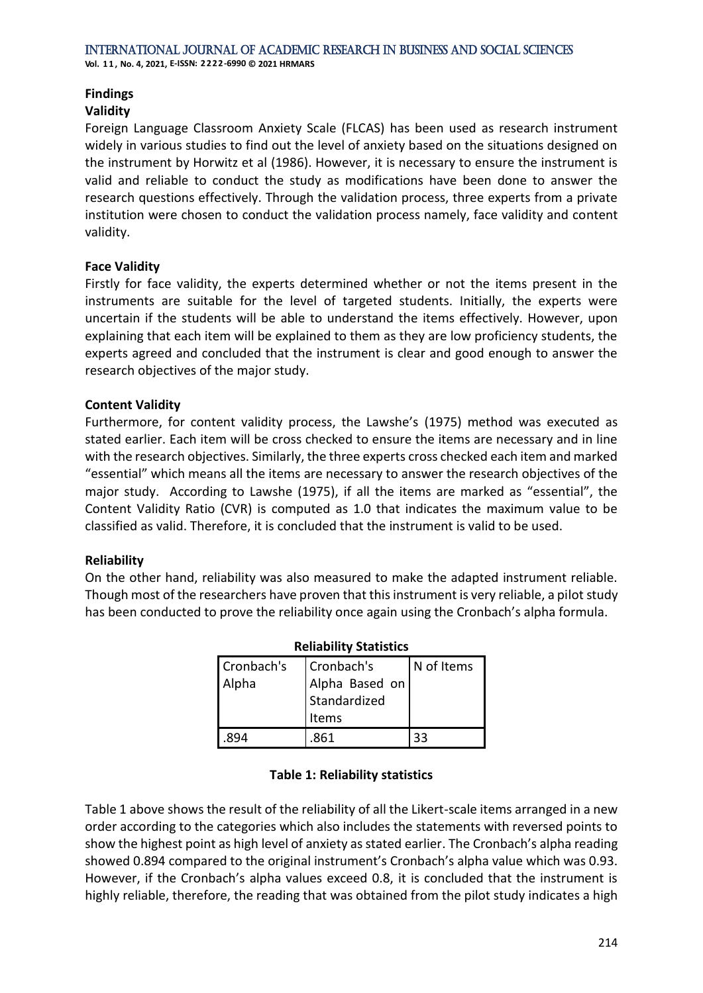## **Findings**

### **Validity**

Foreign Language Classroom Anxiety Scale (FLCAS) has been used as research instrument widely in various studies to find out the level of anxiety based on the situations designed on the instrument by Horwitz et al (1986). However, it is necessary to ensure the instrument is valid and reliable to conduct the study as modifications have been done to answer the research questions effectively. Through the validation process, three experts from a private institution were chosen to conduct the validation process namely, face validity and content validity.

#### **Face Validity**

Firstly for face validity, the experts determined whether or not the items present in the instruments are suitable for the level of targeted students. Initially, the experts were uncertain if the students will be able to understand the items effectively. However, upon explaining that each item will be explained to them as they are low proficiency students, the experts agreed and concluded that the instrument is clear and good enough to answer the research objectives of the major study.

#### **Content Validity**

Furthermore, for content validity process, the Lawshe's (1975) method was executed as stated earlier. Each item will be cross checked to ensure the items are necessary and in line with the research objectives. Similarly, the three experts cross checked each item and marked "essential" which means all the items are necessary to answer the research objectives of the major study. According to Lawshe (1975), if all the items are marked as "essential", the Content Validity Ratio (CVR) is computed as 1.0 that indicates the maximum value to be classified as valid. Therefore, it is concluded that the instrument is valid to be used.

#### **Reliability**

On the other hand, reliability was also measured to make the adapted instrument reliable. Though most of the researchers have proven that this instrument is very reliable, a pilot study has been conducted to prove the reliability once again using the Cronbach's alpha formula.

| <b>Reliability Statistics</b> |                |            |
|-------------------------------|----------------|------------|
| Cronbach's                    | Cronbach's     | N of Items |
| Alpha                         | Alpha Based on |            |
|                               | Standardized   |            |
|                               | Items          |            |
|                               | 861            | 33         |

#### **Table 1: Reliability statistics**

Table 1 above shows the result of the reliability of all the Likert-scale items arranged in a new order according to the categories which also includes the statements with reversed points to show the highest point as high level of anxiety as stated earlier. The Cronbach's alpha reading showed 0.894 compared to the original instrument's Cronbach's alpha value which was 0.93. However, if the Cronbach's alpha values exceed 0.8, it is concluded that the instrument is highly reliable, therefore, the reading that was obtained from the pilot study indicates a high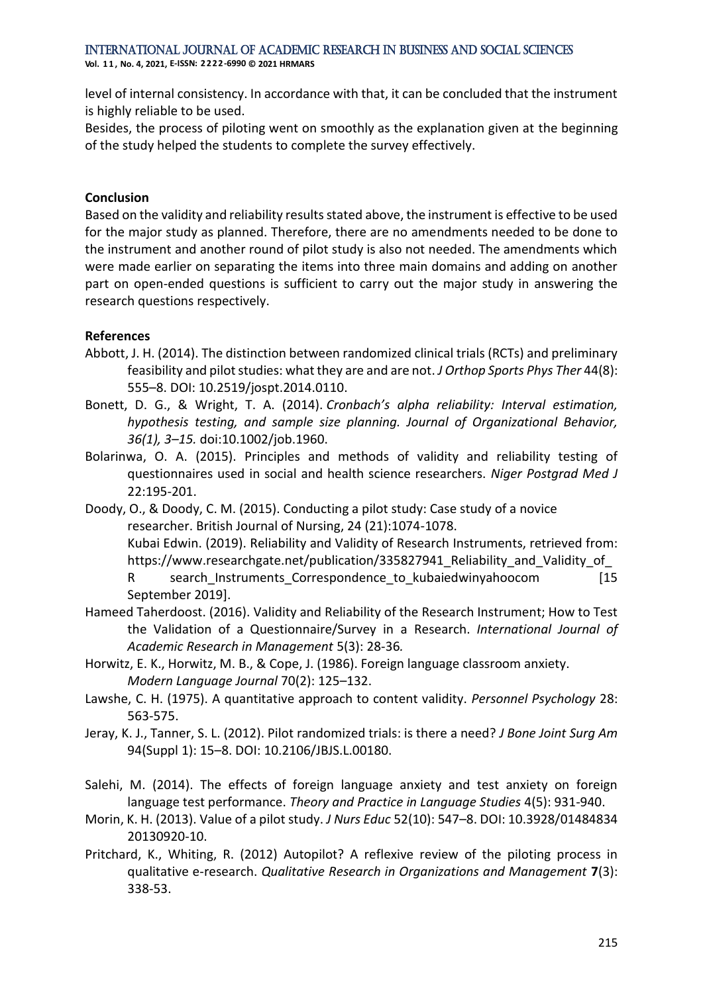**Vol. 1 1 , No. 4, 2021, E-ISSN: 2222-6990 © 2021 HRMARS**

level of internal consistency. In accordance with that, it can be concluded that the instrument is highly reliable to be used.

Besides, the process of piloting went on smoothly as the explanation given at the beginning of the study helped the students to complete the survey effectively.

#### **Conclusion**

Based on the validity and reliability results stated above, the instrument is effective to be used for the major study as planned. Therefore, there are no amendments needed to be done to the instrument and another round of pilot study is also not needed. The amendments which were made earlier on separating the items into three main domains and adding on another part on open-ended questions is sufficient to carry out the major study in answering the research questions respectively.

#### **References**

- Abbott, J. H. (2014). The distinction between randomized clinical trials (RCTs) and preliminary feasibility and pilot studies: what they are and are not. *J Orthop Sports Phys Ther* 44(8): 555–8. DOI: 10.2519/jospt.2014.0110.
- Bonett, D. G., & Wright, T. A. (2014). *Cronbach's alpha reliability: Interval estimation, hypothesis testing, and sample size planning. Journal of Organizational Behavior, 36(1), 3–15.* doi:10.1002/job.1960.
- Bolarinwa, O. A. (2015). Principles and methods of validity and reliability testing of questionnaires used in social and health science researchers. *Niger Postgrad Med J* 22:195-201.
- Doody, O., & Doody, C. M. (2015). Conducting a pilot study: Case study of a novice researcher. British Journal of Nursing, 24 (21):1074-1078. Kubai Edwin. (2019). Reliability and Validity of Research Instruments, retrieved from: https://www.researchgate.net/publication/335827941\_Reliability\_and\_Validity\_of R search Instruments Correspondence to kubaiedwinyahoocom [15 September 2019].
- Hameed Taherdoost. (2016). Validity and Reliability of the Research Instrument; How to Test the Validation of a Questionnaire/Survey in a Research. *International Journal of Academic Research in Management* 5(3): 28-36*.*
- Horwitz, E. K., Horwitz, M. B., & Cope, J. (1986). Foreign language classroom anxiety. *Modern Language Journal* 70(2): 125–132.
- Lawshe, C. H. (1975). A quantitative approach to content validity. *Personnel Psychology* 28: 563-575.
- Jeray, K. J., Tanner, S. L. (2012). Pilot randomized trials: is there a need? *J Bone Joint Surg Am*  94(Suppl 1): 15–8. DOI: 10.2106/JBJS.L.00180.
- Salehi, M. (2014). The effects of foreign language anxiety and test anxiety on foreign language test performance. *Theory and Practice in Language Studies* 4(5): 931-940.
- Morin, K. H. (2013). Value of a pilot study. *J Nurs Educ* 52(10): 547–8. DOI: 10.3928/01484834 20130920-10.
- Pritchard, K., Whiting, R. (2012) Autopilot? A reflexive review of the piloting process in qualitative e-research. *Qualitative Research in Organizations and Management* **7**(3): 338-53.